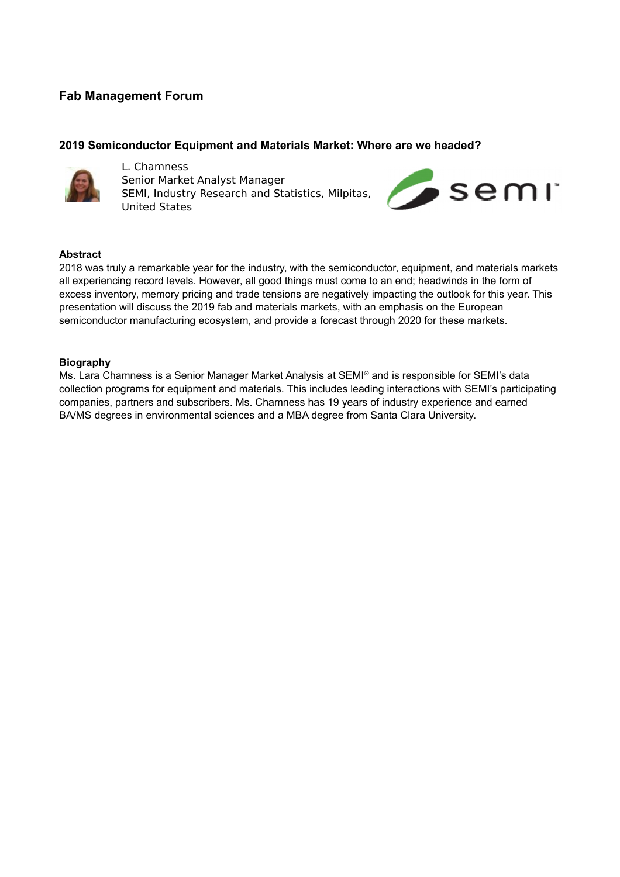# **Fab Management Forum**

## **2019 Semiconductor Equipment and Materials Market: Where are we headed?**



L. Chamness Senior Market Analyst Manager SEMI, Industry Research and Statistics, Milpitas, United States



#### **Abstract**

2018 was truly a remarkable year for the industry, with the semiconductor, equipment, and materials markets all experiencing record levels. However, all good things must come to an end; headwinds in the form of excess inventory, memory pricing and trade tensions are negatively impacting the outlook for this year. This presentation will discuss the 2019 fab and materials markets, with an emphasis on the European semiconductor manufacturing ecosystem, and provide a forecast through 2020 for these markets.

## **Biography**

Ms. Lara Chamness is a Senior Manager Market Analysis at SEMI® and is responsible for SEMI's data collection programs for equipment and materials. This includes leading interactions with SEMI's participating companies, partners and subscribers. Ms. Chamness has 19 years of industry experience and earned BA/MS degrees in environmental sciences and a MBA degree from Santa Clara University.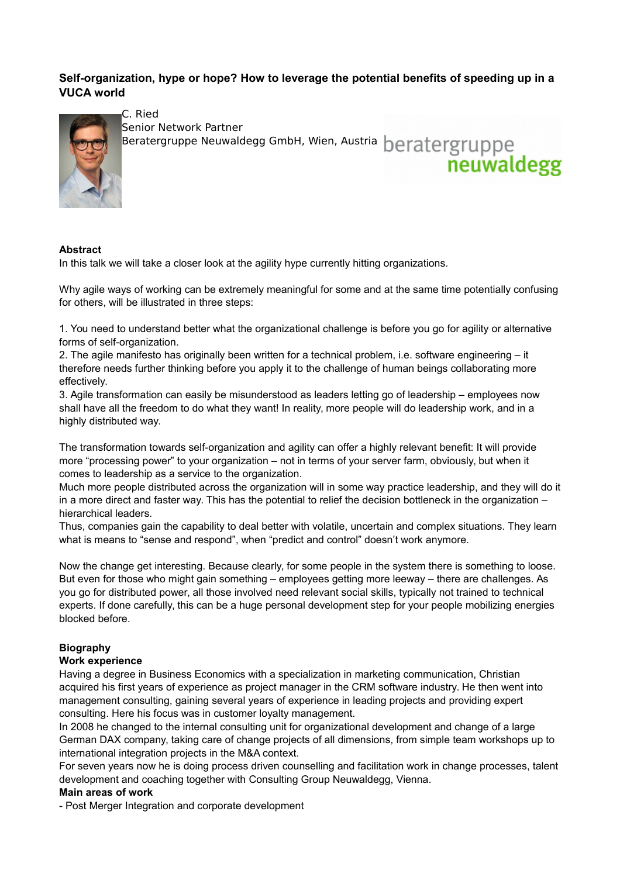# **Self-organization, hype or hope? How to leverage the potential benefits of speeding up in a VUCA world**

neuwaldegg



C. Ried Senior Network Partner

Senior Network Farther<br>Beratergruppe Neuwaldegg GmbH, Wien, Austria beratergruppe

# **Abstract**

In this talk we will take a closer look at the agility hype currently hitting organizations.

Why agile ways of working can be extremely meaningful for some and at the same time potentially confusing for others, will be illustrated in three steps:

1. You need to understand better what the organizational challenge is before you go for agility or alternative forms of self-organization.

2. The agile manifesto has originally been written for a technical problem, i.e. software engineering – it therefore needs further thinking before you apply it to the challenge of human beings collaborating more effectively.

3. Agile transformation can easily be misunderstood as leaders letting go of leadership – employees now shall have all the freedom to do what they want! In reality, more people will do leadership work, and in a highly distributed way.

The transformation towards self-organization and agility can offer a highly relevant benefit: It will provide more "processing power" to your organization – not in terms of your server farm, obviously, but when it comes to leadership as a service to the organization.

Much more people distributed across the organization will in some way practice leadership, and they will do it in a more direct and faster way. This has the potential to relief the decision bottleneck in the organization – hierarchical leaders.

Thus, companies gain the capability to deal better with volatile, uncertain and complex situations. They learn what is means to "sense and respond", when "predict and control" doesn't work anymore.

Now the change get interesting. Because clearly, for some people in the system there is something to loose. But even for those who might gain something – employees getting more leeway – there are challenges. As you go for distributed power, all those involved need relevant social skills, typically not trained to technical experts. If done carefully, this can be a huge personal development step for your people mobilizing energies blocked before.

## **Biography**

## **Work experience**

Having a degree in Business Economics with a specialization in marketing communication, Christian acquired his first years of experience as project manager in the CRM software industry. He then went into management consulting, gaining several years of experience in leading projects and providing expert consulting. Here his focus was in customer loyalty management.

In 2008 he changed to the internal consulting unit for organizational development and change of a large German DAX company, taking care of change projects of all dimensions, from simple team workshops up to international integration projects in the M&A context.

For seven years now he is doing process driven counselling and facilitation work in change processes, talent development and coaching together with Consulting Group Neuwaldegg, Vienna.

#### **Main areas of work**

- Post Merger Integration and corporate development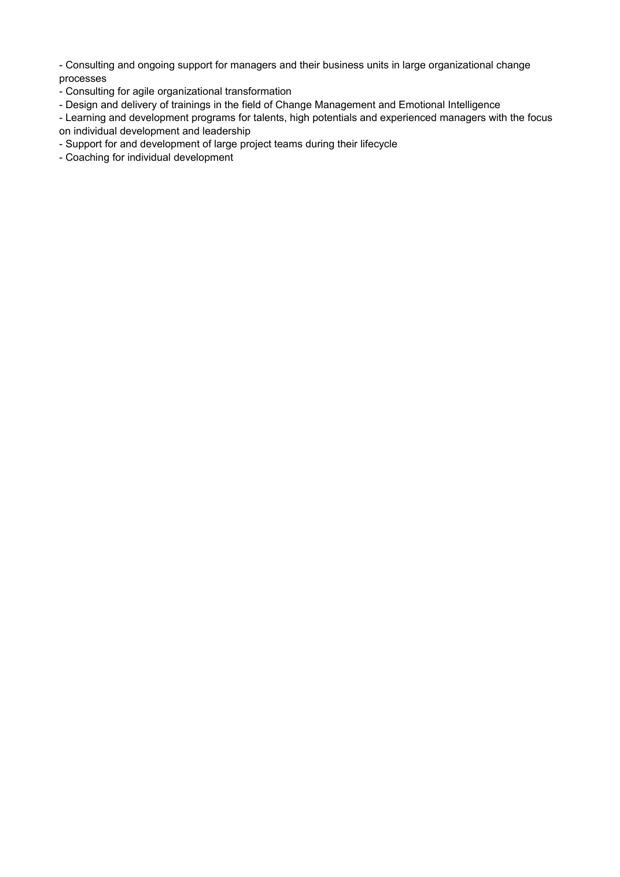- Consulting and ongoing support for managers and their business units in large organizational change processes

- Consulting for agile organizational transformation
- Design and delivery of trainings in the field of Change Management and Emotional Intelligence

- Learning and development programs for talents, high potentials and experienced managers with the focus on individual development and leadership

- Support for and development of large project teams during their lifecycle
- Coaching for individual development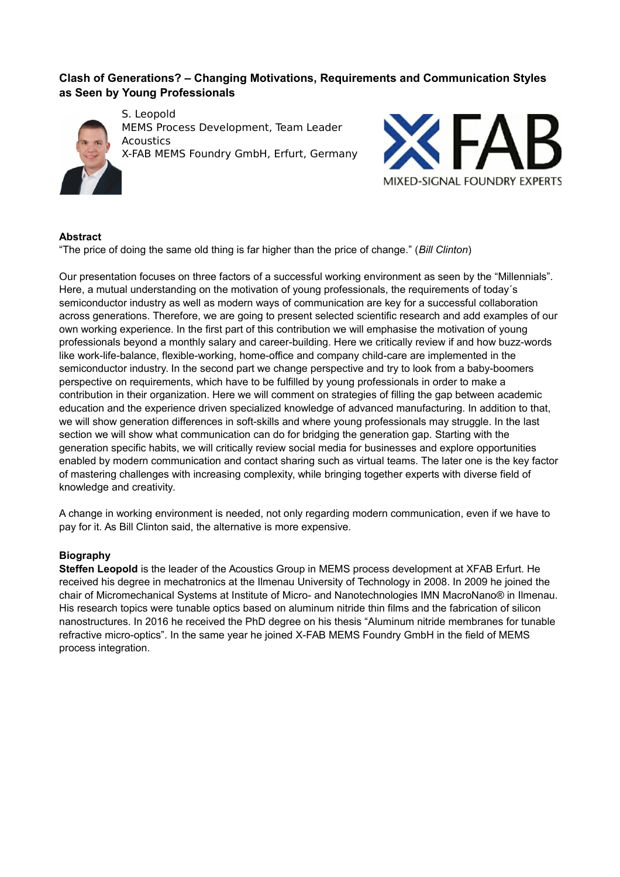# **Clash of Generations? – Changing Motivations, Requirements and Communication Styles as Seen by Young Professionals**



S. Leopold MEMS Process Development, Team Leader **Acoustics** X-FAB MEMS Foundry GmbH, Erfurt, Germany



## **Abstract**

"The price of doing the same old thing is far higher than the price of change." (*Bill Clinton*)

Our presentation focuses on three factors of a successful working environment as seen by the "Millennials". Here, a mutual understanding on the motivation of young professionals, the requirements of today´s semiconductor industry as well as modern ways of communication are key for a successful collaboration across generations. Therefore, we are going to present selected scientific research and add examples of our own working experience. In the first part of this contribution we will emphasise the motivation of young professionals beyond a monthly salary and career-building. Here we critically review if and how buzz-words like work-life-balance, flexible-working, home-office and company child-care are implemented in the semiconductor industry. In the second part we change perspective and try to look from a baby-boomers perspective on requirements, which have to be fulfilled by young professionals in order to make a contribution in their organization. Here we will comment on strategies of filling the gap between academic education and the experience driven specialized knowledge of advanced manufacturing. In addition to that, we will show generation differences in soft-skills and where young professionals may struggle. In the last section we will show what communication can do for bridging the generation gap. Starting with the generation specific habits, we will critically review social media for businesses and explore opportunities enabled by modern communication and contact sharing such as virtual teams. The later one is the key factor of mastering challenges with increasing complexity, while bringing together experts with diverse field of knowledge and creativity.

A change in working environment is needed, not only regarding modern communication, even if we have to pay for it. As Bill Clinton said, the alternative is more expensive.

## **Biography**

**Steffen Leopold** is the leader of the Acoustics Group in MEMS process development at XFAB Erfurt. He received his degree in mechatronics at the Ilmenau University of Technology in 2008. In 2009 he joined the chair of Micromechanical Systems at Institute of Micro- and Nanotechnologies IMN MacroNano® in Ilmenau. His research topics were tunable optics based on aluminum nitride thin films and the fabrication of silicon nanostructures. In 2016 he received the PhD degree on his thesis "Aluminum nitride membranes for tunable refractive micro-optics". In the same year he joined X-FAB MEMS Foundry GmbH in the field of MEMS process integration.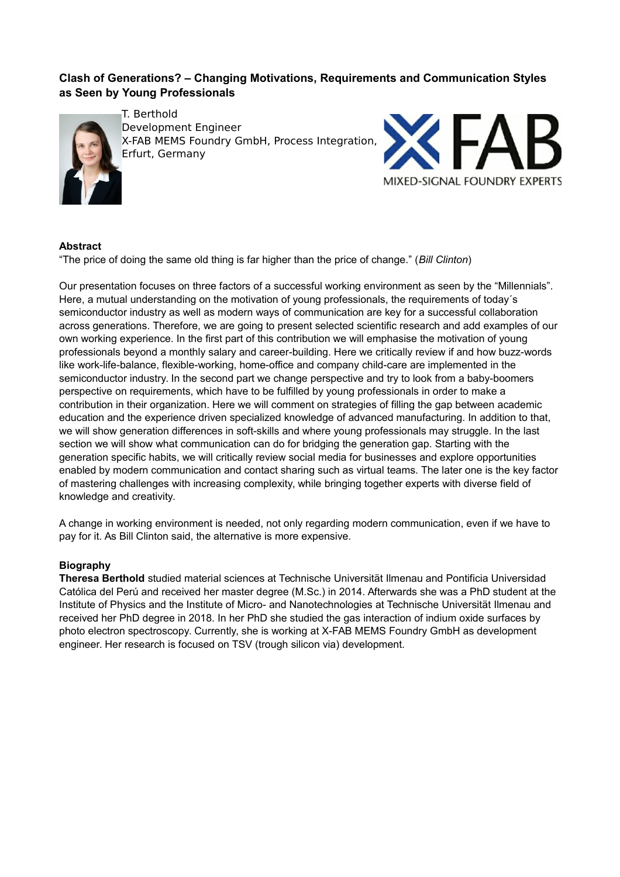# **Clash of Generations? – Changing Motivations, Requirements and Communication Styles as Seen by Young Professionals**



T. Berthold Development Engineer X-FAB MEMS Foundry GmbH, Process Integration, Erfurt, Germany



# **Abstract**

"The price of doing the same old thing is far higher than the price of change." (*Bill Clinton*)

Our presentation focuses on three factors of a successful working environment as seen by the "Millennials". Here, a mutual understanding on the motivation of young professionals, the requirements of today´s semiconductor industry as well as modern ways of communication are key for a successful collaboration across generations. Therefore, we are going to present selected scientific research and add examples of our own working experience. In the first part of this contribution we will emphasise the motivation of young professionals beyond a monthly salary and career-building. Here we critically review if and how buzz-words like work-life-balance, flexible-working, home-office and company child-care are implemented in the semiconductor industry. In the second part we change perspective and try to look from a baby-boomers perspective on requirements, which have to be fulfilled by young professionals in order to make a contribution in their organization. Here we will comment on strategies of filling the gap between academic education and the experience driven specialized knowledge of advanced manufacturing. In addition to that, we will show generation differences in soft-skills and where young professionals may struggle. In the last section we will show what communication can do for bridging the generation gap. Starting with the generation specific habits, we will critically review social media for businesses and explore opportunities enabled by modern communication and contact sharing such as virtual teams. The later one is the key factor of mastering challenges with increasing complexity, while bringing together experts with diverse field of knowledge and creativity.

A change in working environment is needed, not only regarding modern communication, even if we have to pay for it. As Bill Clinton said, the alternative is more expensive.

# **Biography**

**Theresa Berthold** studied material sciences at Technische Universität Ilmenau and Pontificia Universidad Católica del Perú and received her master degree (M.Sc.) in 2014. Afterwards she was a PhD student at the Institute of Physics and the Institute of Micro- and Nanotechnologies at Technische Universität Ilmenau and received her PhD degree in 2018. In her PhD she studied the gas interaction of indium oxide surfaces by photo electron spectroscopy. Currently, she is working at X-FAB MEMS Foundry GmbH as development engineer. Her research is focused on TSV (trough silicon via) development.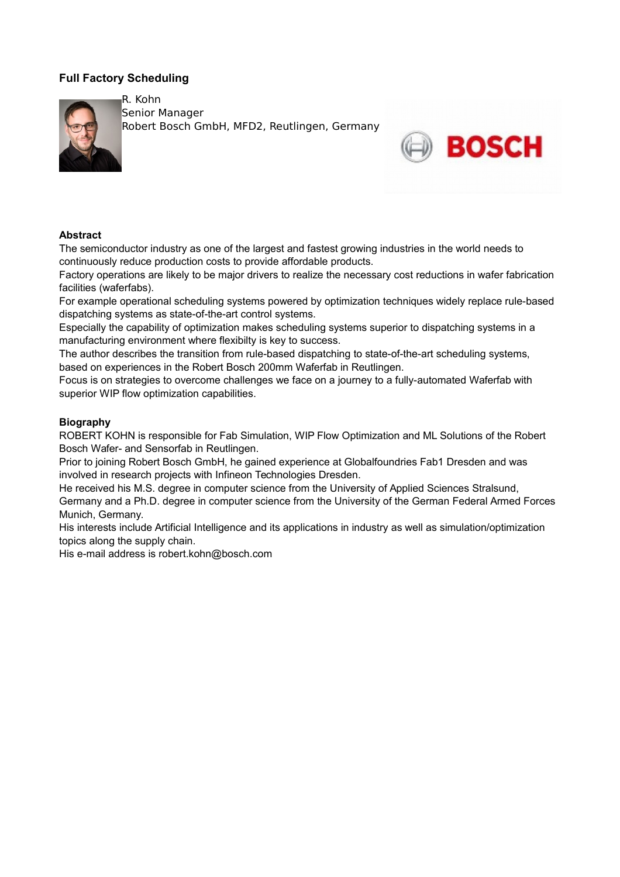# **Full Factory Scheduling**



R. Kohn Senior Manager Robert Bosch GmbH, MFD2, Reutlingen, Germany



# **Abstract**

The semiconductor industry as one of the largest and fastest growing industries in the world needs to continuously reduce production costs to provide affordable products.

Factory operations are likely to be major drivers to realize the necessary cost reductions in wafer fabrication facilities (waferfabs).

For example operational scheduling systems powered by optimization techniques widely replace rule-based dispatching systems as state-of-the-art control systems.

Especially the capability of optimization makes scheduling systems superior to dispatching systems in a manufacturing environment where flexibilty is key to success.

The author describes the transition from rule-based dispatching to state-of-the-art scheduling systems, based on experiences in the Robert Bosch 200mm Waferfab in Reutlingen.

Focus is on strategies to overcome challenges we face on a journey to a fully-automated Waferfab with superior WIP flow optimization capabilities.

## **Biography**

ROBERT KOHN is responsible for Fab Simulation, WIP Flow Optimization and ML Solutions of the Robert Bosch Wafer- and Sensorfab in Reutlingen.

Prior to joining Robert Bosch GmbH, he gained experience at Globalfoundries Fab1 Dresden and was involved in research projects with Infineon Technologies Dresden.

He received his M.S. degree in computer science from the University of Applied Sciences Stralsund, Germany and a Ph.D. degree in computer science from the University of the German Federal Armed Forces Munich, Germany.

His interests include Artificial Intelligence and its applications in industry as well as simulation/optimization topics along the supply chain.

His e-mail address is robert.kohn@bosch.com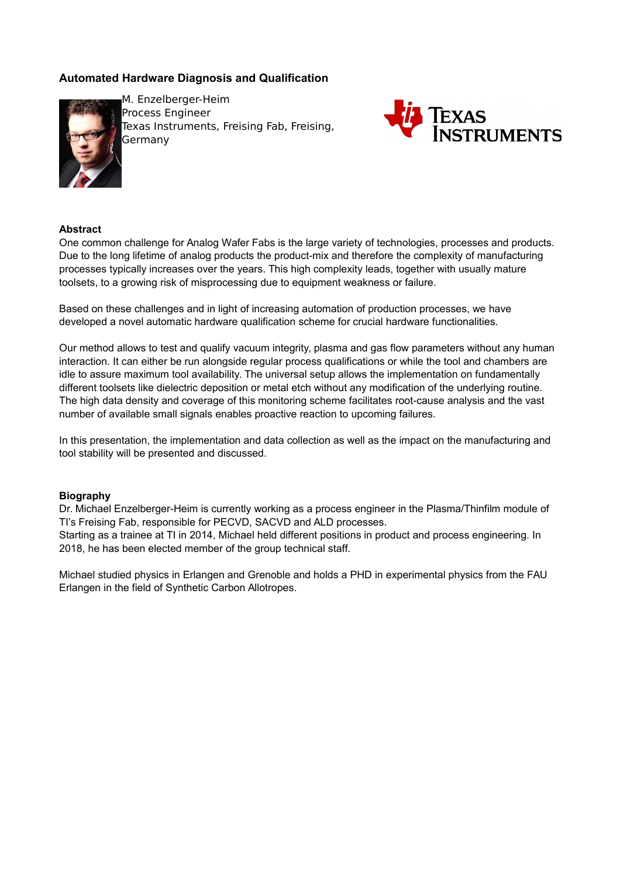# **Automated Hardware Diagnosis and Qualification**



M. Enzelberger-Heim Process Engineer Texas Instruments, Freising Fab, Freising, Germany



## **Abstract**

One common challenge for Analog Wafer Fabs is the large variety of technologies, processes and products. Due to the long lifetime of analog products the product-mix and therefore the complexity of manufacturing processes typically increases over the years. This high complexity leads, together with usually mature toolsets, to a growing risk of misprocessing due to equipment weakness or failure.

Based on these challenges and in light of increasing automation of production processes, we have developed a novel automatic hardware qualification scheme for crucial hardware functionalities.

Our method allows to test and qualify vacuum integrity, plasma and gas flow parameters without any human interaction. It can either be run alongside regular process qualifications or while the tool and chambers are idle to assure maximum tool availability. The universal setup allows the implementation on fundamentally different toolsets like dielectric deposition or metal etch without any modification of the underlying routine. The high data density and coverage of this monitoring scheme facilitates root-cause analysis and the vast number of available small signals enables proactive reaction to upcoming failures.

In this presentation, the implementation and data collection as well as the impact on the manufacturing and tool stability will be presented and discussed.

#### **Biography**

Dr. Michael Enzelberger-Heim is currently working as a process engineer in the Plasma/Thinfilm module of TI's Freising Fab, responsible for PECVD, SACVD and ALD processes.

Starting as a trainee at TI in 2014, Michael held different positions in product and process engineering. In 2018, he has been elected member of the group technical staff.

Michael studied physics in Erlangen and Grenoble and holds a PHD in experimental physics from the FAU Erlangen in the field of Synthetic Carbon Allotropes.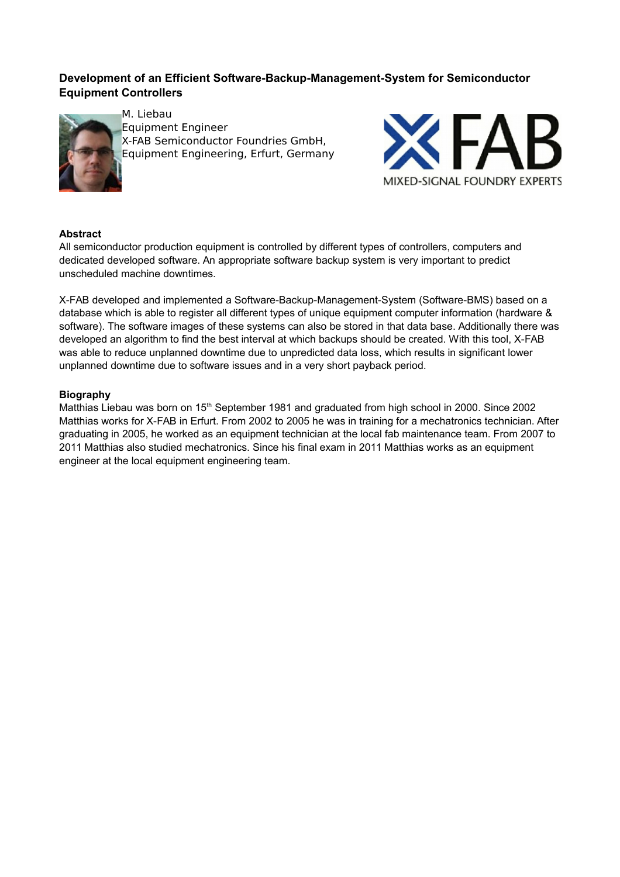# **Development of an Efficient Software-Backup-Management-System for Semiconductor Equipment Controllers**



M. Liebau Equipment Engineer X-FAB Semiconductor Foundries GmbH, Equipment Engineering, Erfurt, Germany



# **Abstract**

All semiconductor production equipment is controlled by different types of controllers, computers and dedicated developed software. An appropriate software backup system is very important to predict unscheduled machine downtimes.

X-FAB developed and implemented a Software-Backup-Management-System (Software-BMS) based on a database which is able to register all different types of unique equipment computer information (hardware & software). The software images of these systems can also be stored in that data base. Additionally there was developed an algorithm to find the best interval at which backups should be created. With this tool, X-FAB was able to reduce unplanned downtime due to unpredicted data loss, which results in significant lower unplanned downtime due to software issues and in a very short payback period.

## **Biography**

Matthias Liebau was born on 15<sup>th</sup> September 1981 and graduated from high school in 2000. Since 2002 Matthias works for X-FAB in Erfurt. From 2002 to 2005 he was in training for a mechatronics technician. After graduating in 2005, he worked as an equipment technician at the local fab maintenance team. From 2007 to 2011 Matthias also studied mechatronics. Since his final exam in 2011 Matthias works as an equipment engineer at the local equipment engineering team.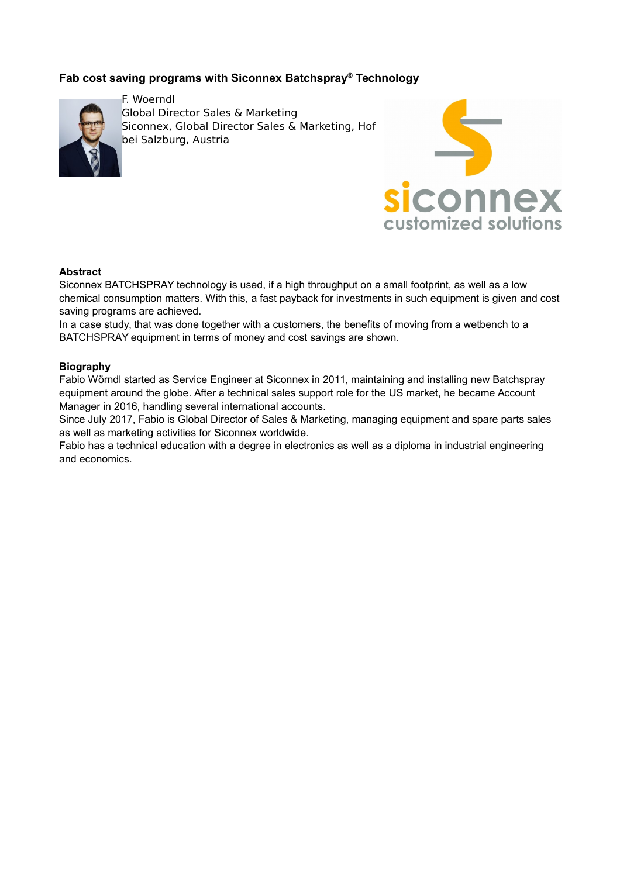# **Fab cost saving programs with Siconnex Batchspray® Technology**



F. Woerndl Global Director Sales & Marketing Siconnex, Global Director Sales & Marketing, Hof bei Salzburg, Austria



## **Abstract**

Siconnex BATCHSPRAY technology is used, if a high throughput on a small footprint, as well as a low chemical consumption matters. With this, a fast payback for investments in such equipment is given and cost saving programs are achieved.

In a case study, that was done together with a customers, the benefits of moving from a wetbench to a BATCHSPRAY equipment in terms of money and cost savings are shown.

## **Biography**

Fabio Wörndl started as Service Engineer at Siconnex in 2011, maintaining and installing new Batchspray equipment around the globe. After a technical sales support role for the US market, he became Account Manager in 2016, handling several international accounts.

Since July 2017, Fabio is Global Director of Sales & Marketing, managing equipment and spare parts sales as well as marketing activities for Siconnex worldwide.

Fabio has a technical education with a degree in electronics as well as a diploma in industrial engineering and economics.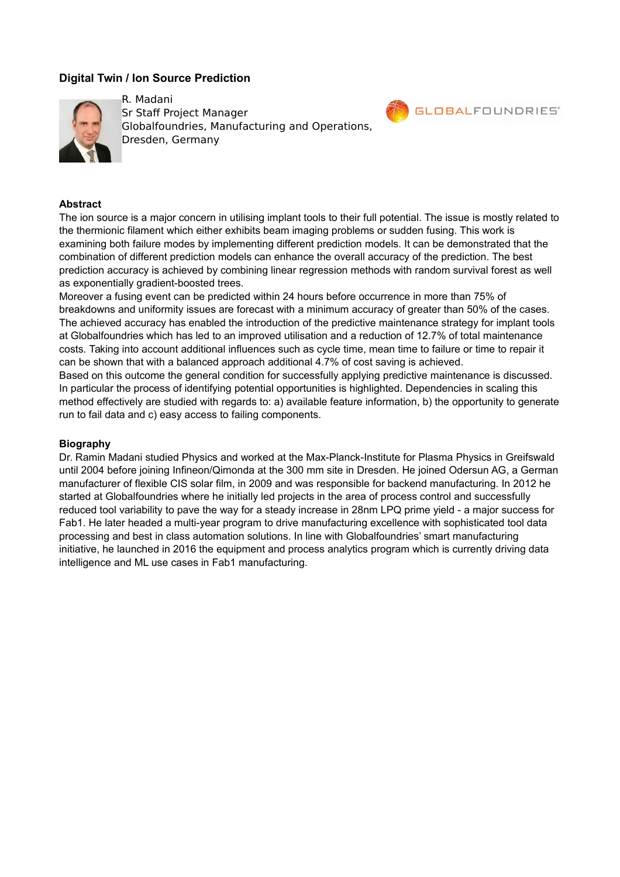# **Digital Twin / Ion Source Prediction**



R. Madani Sr Staff Project Manager Globalfoundries, Manufacturing and Operations, Dresden, Germany



#### **Abstract**

The ion source is a major concern in utilising implant tools to their full potential. The issue is mostly related to the thermionic filament which either exhibits beam imaging problems or sudden fusing. This work is examining both failure modes by implementing different prediction models. It can be demonstrated that the combination of different prediction models can enhance the overall accuracy of the prediction. The best prediction accuracy is achieved by combining linear regression methods with random survival forest as well as exponentially gradient-boosted trees.

Moreover a fusing event can be predicted within 24 hours before occurrence in more than 75% of breakdowns and uniformity issues are forecast with a minimum accuracy of greater than 50% of the cases. The achieved accuracy has enabled the introduction of the predictive maintenance strategy for implant tools at Globalfoundries which has led to an improved utilisation and a reduction of 12.7% of total maintenance costs. Taking into account additional influences such as cycle time, mean time to failure or time to repair it can be shown that with a balanced approach additional 4.7% of cost saving is achieved. Based on this outcome the general condition for successfully applying predictive maintenance is discussed. In particular the process of identifying potential opportunities is highlighted. Dependencies in scaling this method effectively are studied with regards to: a) available feature information, b) the opportunity to generate run to fail data and c) easy access to failing components.

#### **Biography**

Dr. Ramin Madani studied Physics and worked at the Max-Planck-Institute for Plasma Physics in Greifswald until 2004 before joining Infineon/Qimonda at the 300 mm site in Dresden. He joined Odersun AG, a German manufacturer of flexible CIS solar film, in 2009 and was responsible for backend manufacturing. In 2012 he started at Globalfoundries where he initially led projects in the area of process control and successfully reduced tool variability to pave the way for a steady increase in 28nm LPQ prime yield - a major success for Fab1. He later headed a multi-year program to drive manufacturing excellence with sophisticated tool data processing and best in class automation solutions. In line with Globalfoundries' smart manufacturing initiative, he launched in 2016 the equipment and process analytics program which is currently driving data intelligence and ML use cases in Fab1 manufacturing.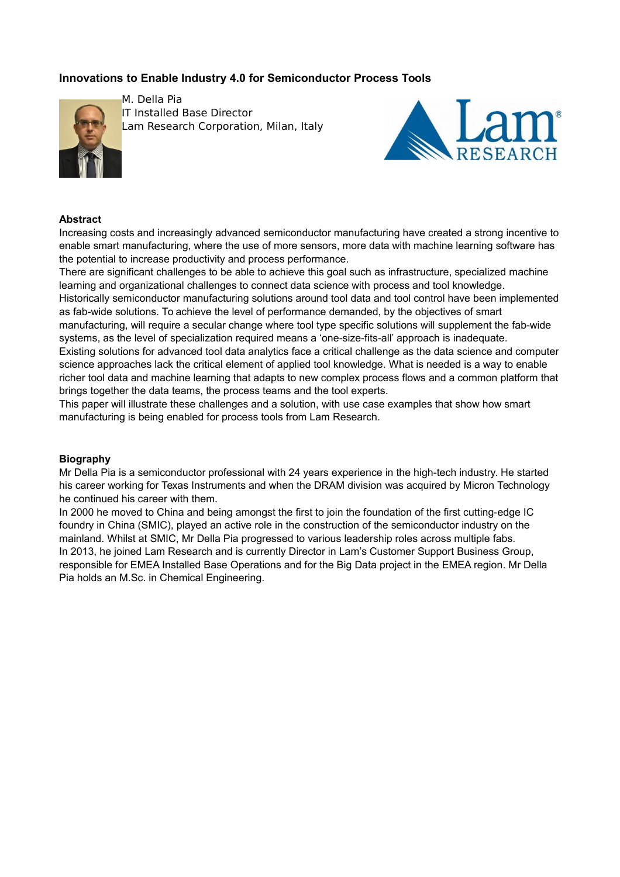# **Innovations to Enable Industry 4.0 for Semiconductor Process Tools**



M. Della Pia **IT Installed Base Director** Lam Research Corporation, Milan, Italy



#### **Abstract**

Increasing costs and increasingly advanced semiconductor manufacturing have created a strong incentive to enable smart manufacturing, where the use of more sensors, more data with machine learning software has the potential to increase productivity and process performance.

There are significant challenges to be able to achieve this goal such as infrastructure, specialized machine learning and organizational challenges to connect data science with process and tool knowledge.

Historically semiconductor manufacturing solutions around tool data and tool control have been implemented as fab-wide solutions. To achieve the level of performance demanded, by the objectives of smart

manufacturing, will require a secular change where tool type specific solutions will supplement the fab-wide systems, as the level of specialization required means a 'one-size-fits-all' approach is inadequate.

Existing solutions for advanced tool data analytics face a critical challenge as the data science and computer science approaches lack the critical element of applied tool knowledge. What is needed is a way to enable richer tool data and machine learning that adapts to new complex process flows and a common platform that brings together the data teams, the process teams and the tool experts.

This paper will illustrate these challenges and a solution, with use case examples that show how smart manufacturing is being enabled for process tools from Lam Research.

#### **Biography**

Mr Della Pia is a semiconductor professional with 24 years experience in the high-tech industry. He started his career working for Texas Instruments and when the DRAM division was acquired by Micron Technology he continued his career with them.

In 2000 he moved to China and being amongst the first to join the foundation of the first cutting-edge IC foundry in China (SMIC), played an active role in the construction of the semiconductor industry on the mainland. Whilst at SMIC, Mr Della Pia progressed to various leadership roles across multiple fabs. In 2013, he joined Lam Research and is currently Director in Lam's Customer Support Business Group, responsible for EMEA Installed Base Operations and for the Big Data project in the EMEA region. Mr Della Pia holds an M.Sc. in Chemical Engineering.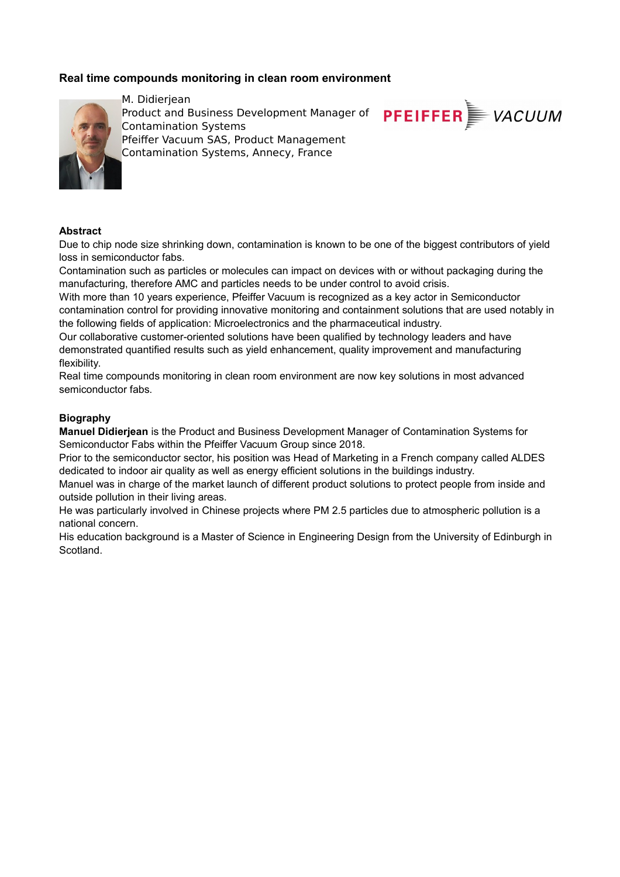# **Real time compounds monitoring in clean room environment**



M. Didieriean Product and Business Development Manager of Contamination Systems Pfeiffer Vacuum SAS, Product Management Contamination Systems, Annecy, France

#### **Abstract**

Due to chip node size shrinking down, contamination is known to be one of the biggest contributors of yield loss in semiconductor fabs.

**PFEIFFER** VACUUM

Contamination such as particles or molecules can impact on devices with or without packaging during the manufacturing, therefore AMC and particles needs to be under control to avoid crisis.

With more than 10 years experience, Pfeiffer Vacuum is recognized as a key actor in Semiconductor contamination control for providing innovative monitoring and containment solutions that are used notably in the following fields of application: Microelectronics and the pharmaceutical industry.

Our collaborative customer-oriented solutions have been qualified by technology leaders and have demonstrated quantified results such as yield enhancement, quality improvement and manufacturing flexibility.

Real time compounds monitoring in clean room environment are now key solutions in most advanced semiconductor fabs.

#### **Biography**

**Manuel Didierjean** is the Product and Business Development Manager of Contamination Systems for Semiconductor Fabs within the Pfeiffer Vacuum Group since 2018.

Prior to the semiconductor sector, his position was Head of Marketing in a French company called ALDES dedicated to indoor air quality as well as energy efficient solutions in the buildings industry.

Manuel was in charge of the market launch of different product solutions to protect people from inside and outside pollution in their living areas.

He was particularly involved in Chinese projects where PM 2.5 particles due to atmospheric pollution is a national concern.

His education background is a Master of Science in Engineering Design from the University of Edinburgh in Scotland.